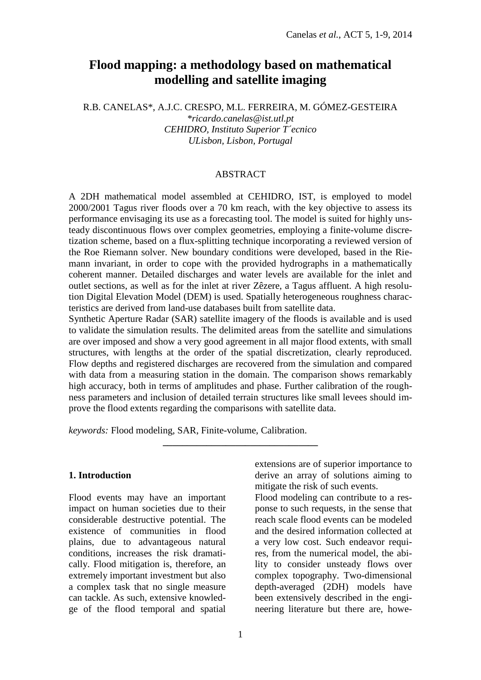# **Flood mapping: a methodology based on mathematical modelling and satellite imaging**

R.B. CANELAS\*, A.J.C. CRESPO, M.L. FERREIRA, M. GÓMEZ-GESTEIRA *\*ricardo.canelas@ist.utl.pt CEHIDRO, Instituto Superior T´ecnico ULisbon, Lisbon, Portugal*

### **ABSTRACT**

A 2DH mathematical model assembled at CEHIDRO, IST, is employed to model 2000/2001 Tagus river floods over a 70 km reach, with the key objective to assess its performance envisaging its use as a forecasting tool. The model is suited for highly unsteady discontinuous flows over complex geometries, employing a finite-volume discretization scheme, based on a flux-splitting technique incorporating a reviewed version of the Roe Riemann solver. New boundary conditions were developed, based in the Riemann invariant, in order to cope with the provided hydrographs in a mathematically coherent manner. Detailed discharges and water levels are available for the inlet and outlet sections, as well as for the inlet at river Zêzere, a Tagus affluent. A high resolution Digital Elevation Model (DEM) is used. Spatially heterogeneous roughness characteristics are derived from land-use databases built from satellite data.

Synthetic Aperture Radar (SAR) satellite imagery of the floods is available and is used to validate the simulation results. The delimited areas from the satellite and simulations are over imposed and show a very good agreement in all major flood extents, with small structures, with lengths at the order of the spatial discretization, clearly reproduced. Flow depths and registered discharges are recovered from the simulation and compared with data from a measuring station in the domain. The comparison shows remarkably high accuracy, both in terms of amplitudes and phase. Further calibration of the roughness parameters and inclusion of detailed terrain structures like small levees should improve the flood extents regarding the comparisons with satellite data.

**\_\_\_\_\_\_\_\_\_\_\_\_\_\_\_\_\_\_\_\_\_\_\_\_\_\_\_\_\_\_\_\_**

*keywords:* Flood modeling, SAR, Finite-volume, Calibration.

#### **1. Introduction**

Flood events may have an important impact on human societies due to their considerable destructive potential. The existence of communities in flood plains, due to advantageous natural conditions, increases the risk dramatically. Flood mitigation is, therefore, an extremely important investment but also a complex task that no single measure can tackle. As such, extensive knowledge of the flood temporal and spatial

extensions are of superior importance to derive an array of solutions aiming to mitigate the risk of such events.

Flood modeling can contribute to a response to such requests, in the sense that reach scale flood events can be modeled and the desired information collected at a very low cost. Such endeavor requires, from the numerical model, the ability to consider unsteady flows over complex topography. Two-dimensional depth-averaged (2DH) models have been extensively described in the engineering literature but there are, howe-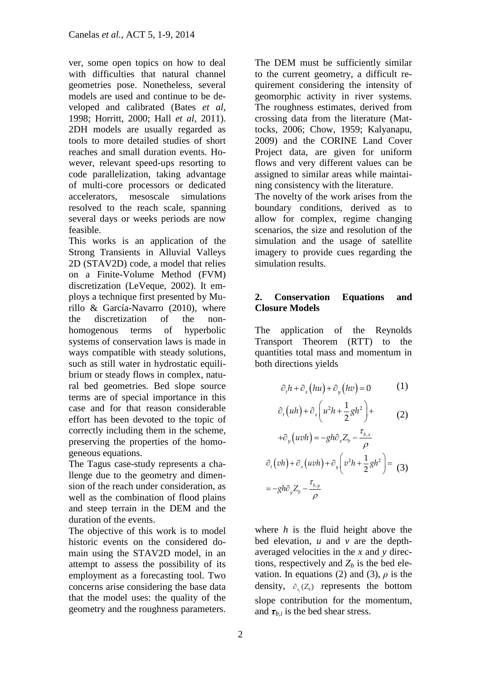ver, some open topics on how to deal with difficulties that natural channel geometries pose. Nonetheless, several models are used and continue to be developed and calibrated (Bates *et al*, 1998; Horritt, 2000; Hall *et al*, 2011). 2DH models are usually regarded as tools to more detailed studies of short reaches and small duration events. However, relevant speed-ups resorting to code parallelization, taking advantage of multi-core processors or dedicated accelerators, mesoscale simulations resolved to the reach scale, spanning several days or weeks periods are now feasible.

This works is an application of the Strong Transients in Alluvial Valleys 2D (STAV2D) code, a model that relies on a Finite-Volume Method (FVM) discretization (LeVeque, 2002). It employs a technique first presented by Murillo & García-Navarro (2010), where the discretization of the nonhomogenous terms of hyperbolic systems of conservation laws is made in ways compatible with steady solutions, such as still water in hydrostatic equilibrium or steady flows in complex, natural bed geometries. Bed slope source terms are of special importance in this case and for that reason considerable effort has been devoted to the topic of correctly including them in the scheme, preserving the properties of the homogeneous equations.

The Tagus case-study represents a challenge due to the geometry and dimension of the reach under consideration, as well as the combination of flood plains and steep terrain in the DEM and the duration of the events.

The objective of this work is to model historic events on the considered domain using the STAV2D model, in an attempt to assess the possibility of its employment as a forecasting tool. Two concerns arise considering the base data that the model uses: the quality of the geometry and the roughness parameters.

The DEM must be sufficiently similar to the current geometry, a difficult requirement considering the intensity of geomorphic activity in river systems. The roughness estimates, derived from crossing data from the literature (Mattocks, 2006; Chow, 1959; Kalyanapu, 2009) and the CORINE Land Cover Project data, are given for uniform flows and very different values can be assigned to similar areas while maintaining consistency with the literature.

The novelty of the work arises from the boundary conditions, derived as to allow for complex, regime changing scenarios, the size and resolution of the simulation and the usage of satellite imagery to provide cues regarding the simulation results.

## **2. Conservation Equations and Closure Models**

The application of the Reynolds Transport Theorem (RTT) to the quantities total mass and momentum in both directions yields

$$
\partial_t h + \partial_x (h u) + \partial_y (h v) = 0 \tag{1}
$$

$$
\partial_t (uh) + \partial_x \left( u^2 h + \frac{1}{2} g h^2 \right) +
$$
  
 
$$
+ \partial_y (uvh) = -gh \partial_x Z_b - \frac{\tau_{b,x}}{2}
$$
 (2)

$$
\partial_t (vh) + \partial_x (uvh) + \partial_y \left( v^2 h + \frac{1}{2} g h^2 \right) =
$$
  
=  $-gh \partial_y Z_b - \frac{\tau_{b,y}}{\rho}$  (3)

where *h* is the fluid height above the bed elevation, *u* and *v* are the depthaveraged velocities in the *x* and *y* directions, respectively and  $Z_b$  is the bed elevation. In equations (2) and (3),  $\rho$  is the density,  $\partial_{x_i}(Z_b)$  represents the bottom *i* slope contribution for the momentum, and  $\tau_{b,i}$  is the bed shear stress.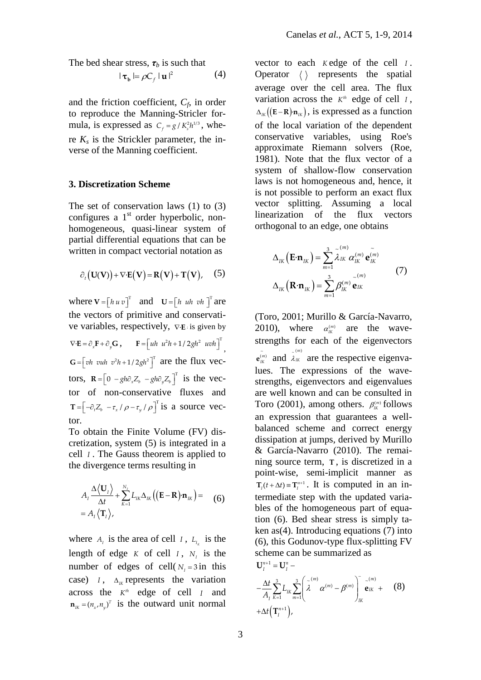The bed shear stress,  $\tau_b$  is such that

$$
|\mathbf{\tau}_{\mathbf{b}}| = \rho C_f |\mathbf{u}|^2 \tag{4}
$$

and the friction coefficient,  $C_f$ , in order to reproduce the Manning-Stricler formula, is expressed as  $C_f = g / K_s^2 h^{1/3}$ , where  $K_s$  is the Strickler parameter, the inverse of the Manning coefficient.

#### **3. Discretization Scheme**

The set of conservation laws (1) to (3) configures a 1<sup>st</sup> order hyperbolic, nonhomogeneous, quasi-linear system of partial differential equations that can be written in compact vectorial notation as

$$
\partial_t (\mathbf{U}(\mathbf{V})) + \nabla \cdot \mathbf{E}(\mathbf{V}) = \mathbf{R}(\mathbf{V}) + \mathbf{T}(\mathbf{V}), \quad (5)
$$

where  $\mathbf{V} = \begin{bmatrix} h & u & v \end{bmatrix}^T$  and  $\mathbf{U} = \begin{bmatrix} h & u h & v h \end{bmatrix}^T$  are the vectors of primitive and conservative variables, respectively,  $\nabla \mathbf{E}$  is given by  $\nabla \cdot \mathbf{E} = \partial_x \mathbf{F} + \partial_y \mathbf{G}$ ,  $\mathbf{F} = \begin{bmatrix} uh & u^2h + 1/2gh^2 & uvh \end{bmatrix}^T$ ,

 $G = \left[ v h \text{ with } v^2 h + 1/2 g h^2 \right]^\text{T}$  are the flux vectors,  $\mathbf{R} = \left[0 \ -gh\partial_x Z_b \ -gh\partial_y Z_b\right]^\text{T}$  is the vector of non-conservative fluxes and  $\mathbf{T} = \left[ -\partial_t Z_b - \tau_x / \rho - \tau_y / \rho \right]^\text{T}$  is a source vector.

To obtain the Finite Volume (FV) discretization, system (5) is integrated in a cell *I* . The Gauss theorem is applied to the divergence terms resulting in

$$
A_{I} \frac{\Delta \langle \mathbf{U}_{I} \rangle}{\Delta t} + \sum_{K=1}^{N_{I}} L_{I K} \Delta_{I K} ((\mathbf{E} - \mathbf{R}) \cdot \mathbf{n}_{I K}) = (6)
$$
  
=  $A_{I} \langle \mathbf{T}_{I} \rangle$ ,

where  $A_I$  is the area of cell  $I$ ,  $L_{I_k}$  is the length of edge  $K$  of cell  $I$ ,  $N_I$  is the number of edges of cell( $N_I = 3$  in this case) *I*,  $\Delta_{I K}$  represents the variation across the  $K^{\text{th}}$  edge of cell  $I$  and  $\mathbf{n}_{I K} = (n_x, n_y)^T$  is the outward unit normal vector to each *K* edge of the cell *I*. Operator  $\langle \rangle$  represents the spatial average over the cell area. The flux variation across the  $K^h$  edge of cell  $I$ ,  $\Delta_{I/K}$  (**E**-**R**) $\mathbf{n}_{I/K}$ ), is expressed as a function of the local variation of the dependent conservative variables, using Roe's approximate Riemann solvers (Roe, 1981). Note that the flux vector of a system of shallow-flow conservation laws is not homogeneous and, hence, it is not possible to perform an exact flux vector splitting. Assuming a local linearization of the flux vectors orthogonal to an edge, one obtains

$$
\Delta_{IK} (\mathbf{E} \cdot \mathbf{n}_{IK}) = \sum_{m=1}^{3} \widetilde{\lambda}_{IK}^{(m)} \alpha_{IK}^{(m)} \mathbf{e}_{IK}^{(m)}
$$
\n
$$
\Delta_{IK} (\mathbf{R} \cdot \mathbf{n}_{IK}) = \sum_{m=1}^{3} \beta_{IK}^{(m)} \mathbf{e}_{IK}^{(m)}
$$
\n(7)

(Toro, 2001; Murillo & García-Navarro, 2010), where  $\alpha_{1K}^{(m)}$  are the wavestrengths for each of the eigenvectors  $\tilde{\mathbf{e}}_{IK}^{(m)}$  and  $\tilde{\lambda}_{IK}^{(m)}$ IK are the respective eigenvalues. The expressions of the wavestrengths, eigenvectors and eigenvalues are well known and can be consulted in Toro (2001), among others.  $\beta_{IR}^{(m)}$  follows an expression that guarantees a wellbalanced scheme and correct energy dissipation at jumps, derived by Murillo & García-Navarro (2010). The remaining source term, **T** , is discretized in a point-wise, semi-implicit manner as  $T_I(t + \Delta t) = T_I^{n+1}$ . It is computed in an intermediate step with the updated variables of the homogeneous part of equation (6). Bed shear stress is simply taken as(4). Introducing equations  $(7)$  into (6), this Godunov-type flux-splitting FV scheme can be summarized as  $U_l^{n+1} = U_l^n$  –

$$
-\frac{\Delta t}{A_{I}}\sum_{K=1}^{3}L_{IK}\sum_{m=1}^{3}\left(\tilde{\lambda}^{(m)}\alpha^{(m)}-\beta^{(m)}\right)_{IK}^{-\alpha^{(m)}}+(8)
$$
  
+
$$
\Delta t(\mathbf{T}_{I}^{n+1}),
$$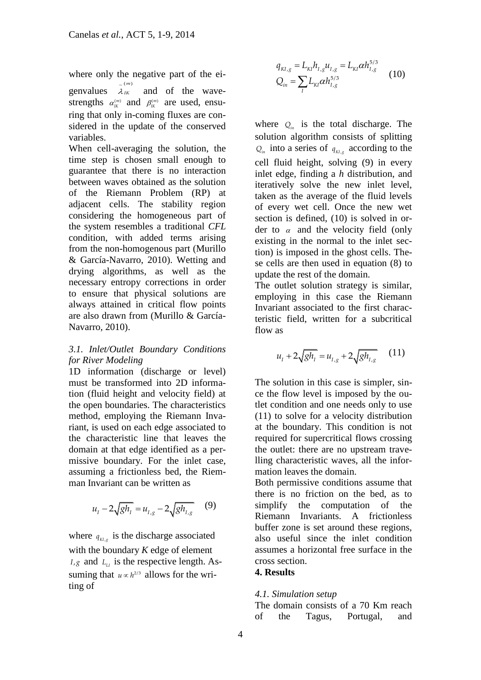where only the negative part of the ei-

genvalues  $\lambda$  $(m)$ *IK* ~ and of the wavestrengths  $\alpha_{IK}^{(m)}$  and  $\beta_{IK}^{(m)}$  are used, ensuring that only in-coming fluxes are considered in the update of the conserved variables.

When cell-averaging the solution, the time step is chosen small enough to guarantee that there is no interaction between waves obtained as the solution of the Riemann Problem (RP) at adjacent cells. The stability region considering the homogeneous part of the system resembles a traditional *CFL* condition, with added terms arising from the non-homogenous part (Murillo & García-Navarro, 2010). Wetting and drying algorithms, as well as the necessary entropy corrections in order to ensure that physical solutions are always attained in critical flow points are also drawn from (Murillo & García-Navarro, 2010).

## *3.1. Inlet/Outlet Boundary Conditions for River Modeling*

1D information (discharge or level) must be transformed into 2D information (fluid height and velocity field) at the open boundaries. The characteristics method, employing the Riemann Invariant, is used on each edge associated to the characteristic line that leaves the domain at that edge identified as a permissive boundary. For the inlet case, assuming a frictionless bed, the Riemman Invariant can be written as

$$
u_{I} - 2\sqrt{gh_{I}} = u_{I,g} - 2\sqrt{gh_{I,g}} \qquad (9)
$$

where  $q_{Kl,g}$  is the discharge associated with the boundary *K* edge of element  $I_{\mathcal{A}}$  and  $L_{\mathcal{A}}$  is the respective length. Assuming that  $u \propto h^{2/3}$  allows for the writing of

$$
q_{\scriptscriptstyle{KI,g}} = L_{\scriptscriptstyle{KI}} h_{\scriptscriptstyle{I,g}} u_{\scriptscriptstyle{I,g}} = L_{\scriptscriptstyle{KI}} \alpha h_{\scriptscriptstyle{I,g}}^{\scriptscriptstyle{5/3}}
$$
  

$$
Q_{\scriptscriptstyle{in}} = \sum_{\scriptscriptstyle{I}} L_{\scriptscriptstyle{KI}} \alpha h_{\scriptscriptstyle{I,g}}^{\scriptscriptstyle{5/3}}
$$
 (10)

where  $Q_{in}$  is the total discharge. The solution algorithm consists of splitting  $Q_{in}$  into a series of  $q_{Kl,g}$  according to the cell fluid height, solving (9) in every inlet edge, finding a *h* distribution, and iteratively solve the new inlet level, taken as the average of the fluid levels of every wet cell. Once the new wet section is defined, (10) is solved in order to  $\alpha$  and the velocity field (only existing in the normal to the inlet section) is imposed in the ghost cells. These cells are then used in equation (8) to update the rest of the domain.

The outlet solution strategy is similar, employing in this case the Riemann Invariant associated to the first characteristic field, written for a subcritical flow as

$$
u_{I} + 2\sqrt{gh_{I}} = u_{I,g} + 2\sqrt{gh_{I,g}} \qquad (11)
$$

The solution in this case is simpler, since the flow level is imposed by the outlet condition and one needs only to use (11) to solve for a velocity distribution at the boundary. This condition is not required for supercritical flows crossing the outlet: there are no upstream travelling characteristic waves, all the information leaves the domain.

Both permissive conditions assume that there is no friction on the bed, as to simplify the computation of the Riemann Invariants. A frictionless buffer zone is set around these regions, also useful since the inlet condition assumes a horizontal free surface in the cross section.

## **4. Results**

#### *4.1. Simulation setup*

The domain consists of a 70 Km reach of the Tagus, Portugal, and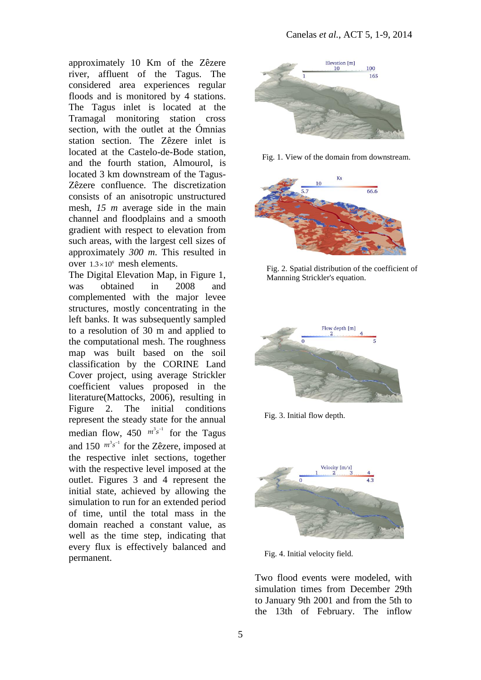approximately 10 Km of the Zêzere river, affluent of the Tagus. The considered area experiences regular floods and is monitored by 4 stations. The Tagus inlet is located at the Tramagal monitoring station cross section, with the outlet at the Ómnias station section. The Zêzere inlet is located at the Castelo-de-Bode station, and the fourth station, Almourol, is located 3 km downstream of the Tagus-Zêzere confluence. The discretization consists of an anisotropic unstructured mesh, *15 m* average side in the main channel and floodplains and a smooth gradient with respect to elevation from such areas, with the largest cell sizes of approximately *300 m*. This resulted in over  $1.3 \times 10^6$  mesh elements.

The Digital Elevation Map, in Figure 1, was obtained in 2008 and complemented with the major levee structures, mostly concentrating in the left banks. It was subsequently sampled to a resolution of 30 m and applied to the computational mesh. The roughness map was built based on the soil classification by the CORINE Land Cover project, using average Strickler coefficient values proposed in the literature(Mattocks, 2006), resulting in Figure 2. The initial conditions represent the steady state for the annual median flow,  $450 \frac{m^3 s^{-1}}{m}$  for the Tagus and 150  $m^3s^{-1}$  for the Zêzere, imposed at the respective inlet sections, together with the respective level imposed at the outlet. Figures 3 and 4 represent the initial state, achieved by allowing the simulation to run for an extended period of time, until the total mass in the domain reached a constant value, as well as the time step, indicating that every flux is effectively balanced and permanent.



Fig. 1. View of the domain from downstream.



Fig. 2. Spatial distribution of the coefficient of Mannning Strickler's equation.



Fig. 3. Initial flow depth.



Fig. 4. Initial velocity field.

Two flood events were modeled, with simulation times from December 29th to January 9th 2001 and from the 5th to the 13th of February. The inflow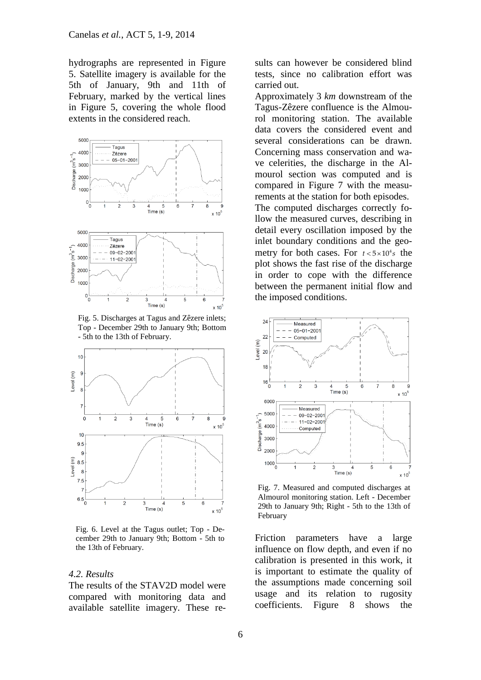hydrographs are represented in Figure 5. Satellite imagery is available for the 5th of January, 9th and 11th of February, marked by the vertical lines in Figure 5, covering the whole flood extents in the considered reach.



Fig. 5. Discharges at Tagus and Zêzere inlets; Top - December 29th to January 9th; Bottom - 5th to the 13th of February.



Fig. 6. Level at the Tagus outlet; Top - December 29th to January 9th; Bottom - 5th to the 13th of February.

#### *4.2. Results*

The results of the STAV2D model were compared with monitoring data and available satellite imagery. These results can however be considered blind tests, since no calibration effort was carried out.

Approximately 3 *km* downstream of the Tagus-Zêzere confluence is the Almourol monitoring station. The available data covers the considered event and several considerations can be drawn. Concerning mass conservation and wave celerities, the discharge in the Almourol section was computed and is compared in Figure 7 with the measurements at the station for both episodes. The computed discharges correctly follow the measured curves, describing in detail every oscillation imposed by the inlet boundary conditions and the geometry for both cases. For  $t < 5 \times 10^4 s$  the plot shows the fast rise of the discharge in order to cope with the difference between the permanent initial flow and the imposed conditions.



Fig. 7. Measured and computed discharges at Almourol monitoring station. Left - December 29th to January 9th; Right - 5th to the 13th of February

Friction parameters have a large influence on flow depth, and even if no calibration is presented in this work, it is important to estimate the quality of the assumptions made concerning soil usage and its relation to rugosity coefficients. Figure 8 shows the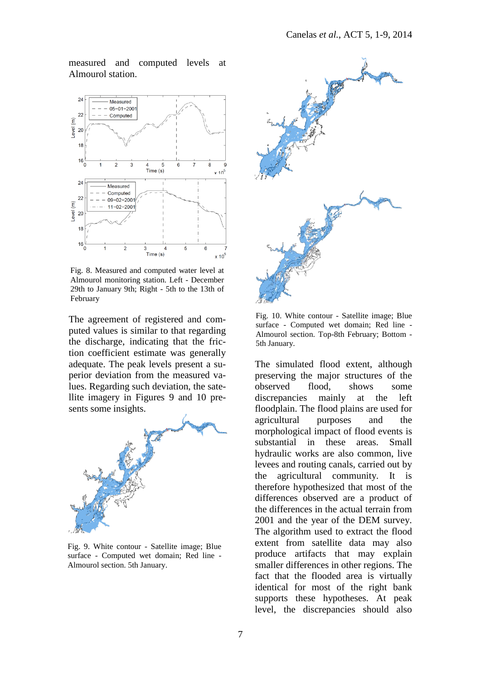measured and computed levels at Almourol station.



Fig. 8. Measured and computed water level at Almourol monitoring station. Left - December 29th to January 9th; Right - 5th to the 13th of February

The agreement of registered and computed values is similar to that regarding the discharge, indicating that the friction coefficient estimate was generally adequate. The peak levels present a superior deviation from the measured values. Regarding such deviation, the satellite imagery in Figures 9 and 10 presents some insights.



Fig. 9. White contour - Satellite image; Blue surface - Computed wet domain; Red line - Almourol section. 5th January.



Fig. 10. White contour - Satellite image; Blue surface - Computed wet domain; Red line - Almourol section. Top-8th February; Bottom - 5th January.

The simulated flood extent, although preserving the major structures of the observed flood, shows some discrepancies mainly at the left floodplain. The flood plains are used for agricultural purposes and the morphological impact of flood events is substantial in these areas. Small hydraulic works are also common, live levees and routing canals, carried out by the agricultural community. It is therefore hypothesized that most of the differences observed are a product of the differences in the actual terrain from 2001 and the year of the DEM survey. The algorithm used to extract the flood extent from satellite data may also produce artifacts that may explain smaller differences in other regions. The fact that the flooded area is virtually identical for most of the right bank supports these hypotheses. At peak level, the discrepancies should also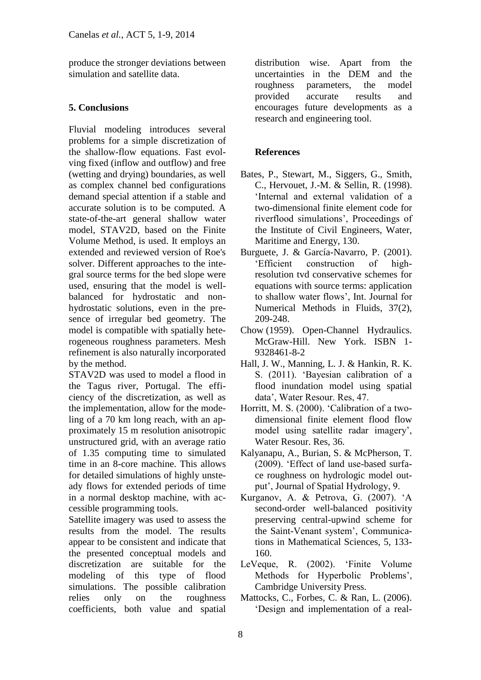produce the stronger deviations between simulation and satellite data.

# **5. Conclusions**

Fluvial modeling introduces several problems for a simple discretization of the shallow-flow equations. Fast evolving fixed (inflow and outflow) and free (wetting and drying) boundaries, as well as complex channel bed configurations demand special attention if a stable and accurate solution is to be computed. A state-of-the-art general shallow water model, STAV2D, based on the Finite Volume Method, is used. It employs an extended and reviewed version of Roe's solver. Different approaches to the integral source terms for the bed slope were used, ensuring that the model is wellbalanced for hydrostatic and nonhydrostatic solutions, even in the presence of irregular bed geometry. The model is compatible with spatially heterogeneous roughness parameters. Mesh refinement is also naturally incorporated by the method.

STAV2D was used to model a flood in the Tagus river, Portugal. The efficiency of the discretization, as well as the implementation, allow for the modeling of a 70 km long reach, with an approximately 15 m resolution anisotropic unstructured grid, with an average ratio of 1.35 computing time to simulated time in an 8-core machine. This allows for detailed simulations of highly unsteady flows for extended periods of time in a normal desktop machine, with accessible programming tools.

Satellite imagery was used to assess the results from the model. The results appear to be consistent and indicate that the presented conceptual models and discretization are suitable for the modeling of this type of flood simulations. The possible calibration relies only on the roughness coefficients, both value and spatial

distribution wise. Apart from the uncertainties in the DEM and the roughness parameters, the model provided accurate results and encourages future developments as a research and engineering tool.

# **References**

- Bates, P., Stewart, M., Siggers, G., Smith, C., Hervouet, J.-M. & Sellin, R. (1998). 'Internal and external validation of a two-dimensional finite element code for riverflood simulations', Proceedings of the Institute of Civil Engineers, Water, Maritime and Energy, 130.
- Burguete, J. & García-Navarro, P. (2001). 'Efficient construction of highresolution tvd conservative schemes for equations with source terms: application to shallow water flows', Int. Journal for Numerical Methods in Fluids, 37(2), 209-248.
- [Chow](http://en.wikipedia.org/wiki/Ven_Te_Chow) (1959). Open-Channel Hydraulics. McGraw-Hill. New York. [ISBN 1-](http://en.wikipedia.org/wiki/Special:BookSources/1932846182) [9328461-8-2](http://en.wikipedia.org/wiki/Special:BookSources/1932846182)
- Hall, J. W., Manning, L. J. & Hankin, R. K. S. (2011). 'Bayesian calibration of a flood inundation model using spatial data', Water Resour. Res, 47.
- Horritt, M. S. (2000). 'Calibration of a twodimensional finite element flood flow model using satellite radar imagery', Water Resour. Res, 36.
- Kalyanapu, A., Burian, S. & McPherson, T. (2009). 'Effect of land use-based surface roughness on hydrologic model output', Journal of Spatial Hydrology, 9.
- Kurganov, A. & Petrova, G. (2007). 'A second-order well-balanced positivity preserving central-upwind scheme for the Saint-Venant system', Communications in Mathematical Sciences, 5, 133- 160.
- LeVeque, R. (2002). 'Finite Volume Methods for Hyperbolic Problems', Cambridge University Press.
- Mattocks, C., Forbes, C. & Ran, L. (2006). 'Design and implementation of a real-